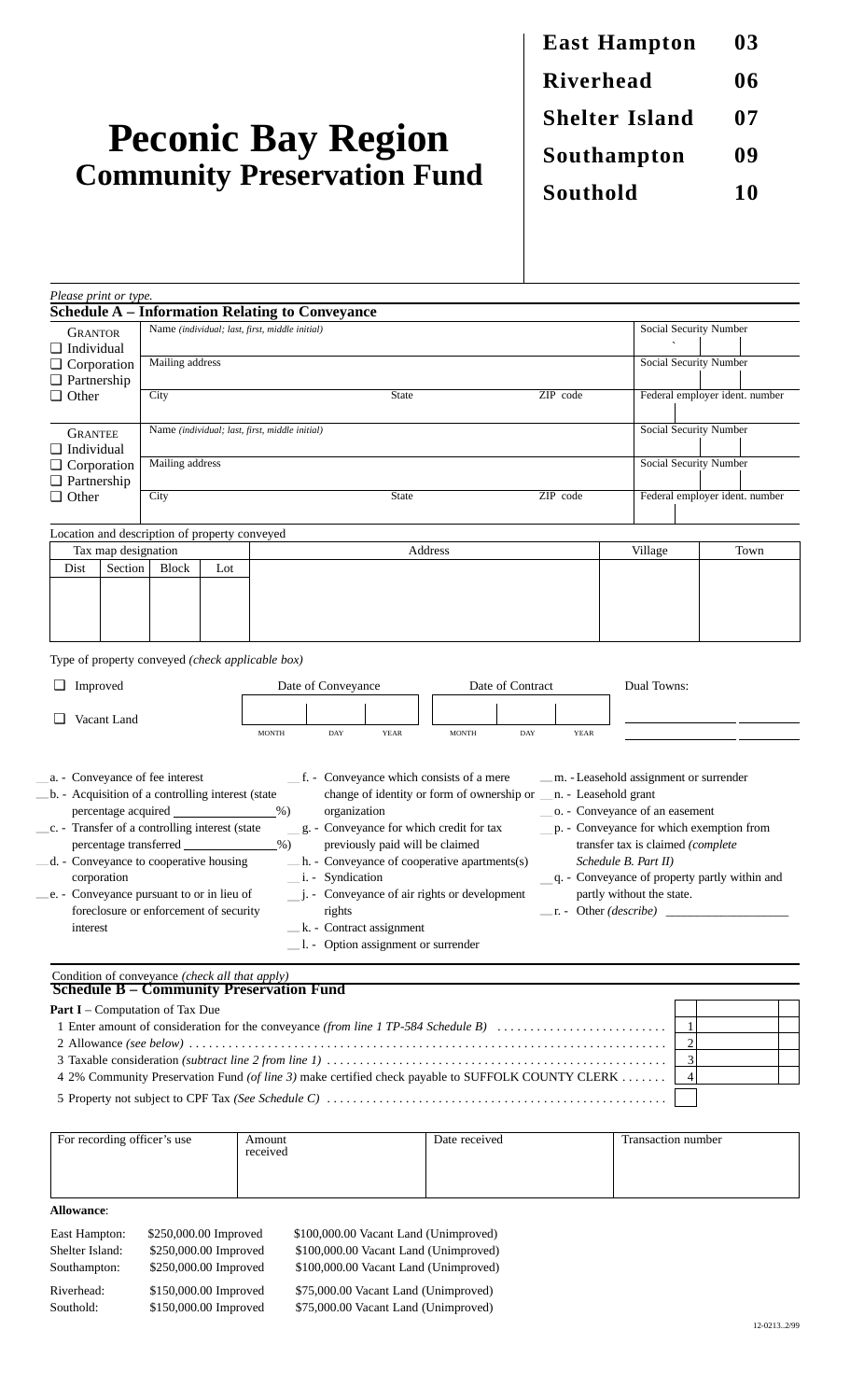# **Peconic Bay Region Community Preservation Fund**

**East Hampton 03 Riverhead 06 Shelter Island** 07 **Southampton 09 Southold 10**

| Please print or type.                                                                                                                                                                                                                                                                                                                                                                                                                                                                                                                                                                                                                                                                                                                                                                                                                                                                                                                                                                                                                                                                                                                     |                     |                                                |         |                                                                                                          |     |             |  |              |     |             |                                |                        |      |  |
|-------------------------------------------------------------------------------------------------------------------------------------------------------------------------------------------------------------------------------------------------------------------------------------------------------------------------------------------------------------------------------------------------------------------------------------------------------------------------------------------------------------------------------------------------------------------------------------------------------------------------------------------------------------------------------------------------------------------------------------------------------------------------------------------------------------------------------------------------------------------------------------------------------------------------------------------------------------------------------------------------------------------------------------------------------------------------------------------------------------------------------------------|---------------------|------------------------------------------------|---------|----------------------------------------------------------------------------------------------------------|-----|-------------|--|--------------|-----|-------------|--------------------------------|------------------------|------|--|
| <b>GRANTOR</b>                                                                                                                                                                                                                                                                                                                                                                                                                                                                                                                                                                                                                                                                                                                                                                                                                                                                                                                                                                                                                                                                                                                            |                     |                                                |         | <b>Schedule A – Information Relating to Conveyance</b><br>Name (individual; last, first, middle initial) |     |             |  |              |     |             | Social Security Number         |                        |      |  |
| $\Box$ Individual<br>$\Box$ Corporation<br>$\Box$ Partnership<br>$\Box$ Other                                                                                                                                                                                                                                                                                                                                                                                                                                                                                                                                                                                                                                                                                                                                                                                                                                                                                                                                                                                                                                                             |                     |                                                |         |                                                                                                          |     |             |  |              |     |             |                                |                        |      |  |
|                                                                                                                                                                                                                                                                                                                                                                                                                                                                                                                                                                                                                                                                                                                                                                                                                                                                                                                                                                                                                                                                                                                                           |                     | Mailing address                                |         |                                                                                                          |     |             |  |              |     |             |                                | Social Security Number |      |  |
|                                                                                                                                                                                                                                                                                                                                                                                                                                                                                                                                                                                                                                                                                                                                                                                                                                                                                                                                                                                                                                                                                                                                           |                     |                                                |         |                                                                                                          |     |             |  |              |     |             |                                |                        |      |  |
|                                                                                                                                                                                                                                                                                                                                                                                                                                                                                                                                                                                                                                                                                                                                                                                                                                                                                                                                                                                                                                                                                                                                           |                     | City<br><b>State</b><br>ZIP code               |         |                                                                                                          |     |             |  |              |     |             | Federal employer ident. number |                        |      |  |
|                                                                                                                                                                                                                                                                                                                                                                                                                                                                                                                                                                                                                                                                                                                                                                                                                                                                                                                                                                                                                                                                                                                                           |                     |                                                |         |                                                                                                          |     |             |  |              |     |             |                                |                        |      |  |
| <b>GRANTEE</b><br>$\Box$ Individual<br>$\Box$ Corporation<br>$\Box$ Partnership                                                                                                                                                                                                                                                                                                                                                                                                                                                                                                                                                                                                                                                                                                                                                                                                                                                                                                                                                                                                                                                           |                     | Name (individual; last, first, middle initial) |         |                                                                                                          |     |             |  |              |     |             |                                | Social Security Number |      |  |
|                                                                                                                                                                                                                                                                                                                                                                                                                                                                                                                                                                                                                                                                                                                                                                                                                                                                                                                                                                                                                                                                                                                                           |                     |                                                |         |                                                                                                          |     |             |  |              |     |             |                                |                        |      |  |
|                                                                                                                                                                                                                                                                                                                                                                                                                                                                                                                                                                                                                                                                                                                                                                                                                                                                                                                                                                                                                                                                                                                                           |                     | Mailing address                                |         |                                                                                                          |     |             |  |              |     |             | Social Security Number         |                        |      |  |
|                                                                                                                                                                                                                                                                                                                                                                                                                                                                                                                                                                                                                                                                                                                                                                                                                                                                                                                                                                                                                                                                                                                                           |                     |                                                |         |                                                                                                          |     |             |  |              |     |             |                                |                        |      |  |
| $\Box$ Other                                                                                                                                                                                                                                                                                                                                                                                                                                                                                                                                                                                                                                                                                                                                                                                                                                                                                                                                                                                                                                                                                                                              |                     | City<br><b>State</b><br>ZIP code               |         |                                                                                                          |     |             |  |              |     |             | Federal employer ident. number |                        |      |  |
|                                                                                                                                                                                                                                                                                                                                                                                                                                                                                                                                                                                                                                                                                                                                                                                                                                                                                                                                                                                                                                                                                                                                           |                     |                                                |         |                                                                                                          |     |             |  |              |     |             |                                |                        |      |  |
|                                                                                                                                                                                                                                                                                                                                                                                                                                                                                                                                                                                                                                                                                                                                                                                                                                                                                                                                                                                                                                                                                                                                           |                     | Location and description of property conveyed  |         |                                                                                                          |     |             |  |              |     |             |                                |                        |      |  |
|                                                                                                                                                                                                                                                                                                                                                                                                                                                                                                                                                                                                                                                                                                                                                                                                                                                                                                                                                                                                                                                                                                                                           | Tax map designation |                                                | Address |                                                                                                          |     |             |  |              |     |             | Village                        |                        | Town |  |
| Section<br>Dist<br><b>Block</b><br>Lot                                                                                                                                                                                                                                                                                                                                                                                                                                                                                                                                                                                                                                                                                                                                                                                                                                                                                                                                                                                                                                                                                                    |                     |                                                |         |                                                                                                          |     |             |  |              |     |             |                                |                        |      |  |
|                                                                                                                                                                                                                                                                                                                                                                                                                                                                                                                                                                                                                                                                                                                                                                                                                                                                                                                                                                                                                                                                                                                                           |                     |                                                |         |                                                                                                          |     |             |  |              |     |             |                                |                        |      |  |
|                                                                                                                                                                                                                                                                                                                                                                                                                                                                                                                                                                                                                                                                                                                                                                                                                                                                                                                                                                                                                                                                                                                                           |                     |                                                |         |                                                                                                          |     |             |  |              |     |             |                                |                        |      |  |
|                                                                                                                                                                                                                                                                                                                                                                                                                                                                                                                                                                                                                                                                                                                                                                                                                                                                                                                                                                                                                                                                                                                                           |                     |                                                |         |                                                                                                          |     |             |  |              |     |             |                                |                        |      |  |
|                                                                                                                                                                                                                                                                                                                                                                                                                                                                                                                                                                                                                                                                                                                                                                                                                                                                                                                                                                                                                                                                                                                                           |                     |                                                |         | Type of property conveyed (check applicable box)                                                         |     |             |  |              |     |             |                                |                        |      |  |
| Improved<br>⊔                                                                                                                                                                                                                                                                                                                                                                                                                                                                                                                                                                                                                                                                                                                                                                                                                                                                                                                                                                                                                                                                                                                             |                     |                                                |         | Date of Contract<br>Date of Conveyance                                                                   |     |             |  |              |     |             | Dual Towns:                    |                        |      |  |
| Vacant Land                                                                                                                                                                                                                                                                                                                                                                                                                                                                                                                                                                                                                                                                                                                                                                                                                                                                                                                                                                                                                                                                                                                               |                     |                                                |         |                                                                                                          |     |             |  |              |     |             |                                |                        |      |  |
|                                                                                                                                                                                                                                                                                                                                                                                                                                                                                                                                                                                                                                                                                                                                                                                                                                                                                                                                                                                                                                                                                                                                           |                     |                                                |         |                                                                                                          |     |             |  |              |     |             |                                |                        |      |  |
|                                                                                                                                                                                                                                                                                                                                                                                                                                                                                                                                                                                                                                                                                                                                                                                                                                                                                                                                                                                                                                                                                                                                           |                     |                                                |         | <b>MONTH</b>                                                                                             | DAY | <b>YEAR</b> |  | <b>MONTH</b> | DAY | <b>YEAR</b> |                                |                        |      |  |
| _f. - Conveyance which consists of a mere<br>a. - Conveyance of fee interest<br>b. - Acquisition of a controlling interest (state<br>change of identity or form of ownership or _<br>n. - Leasehold grant<br>organization<br>o. - Conveyance of an easement<br>percentage acquired<br>$%$ )<br>c. - Transfer of a controlling interest (state<br>g. - Conveyance for which credit for tax<br>p. - Conveyance for which exemption from<br>percentage transferred<br>previously paid will be claimed<br>transfer tax is claimed (complete<br>$\%$ )<br>_h. - Conveyance of cooperative apartments(s)<br>d. - Conveyance to cooperative housing<br>Schedule B. Part II)<br>corporation<br>_i. - Syndication<br>q. - Conveyance of property partly within and<br>$\frac{1}{2}$ . Conveyance of air rights or development<br>e. - Conveyance pursuant to or in lieu of<br>partly without the state.<br>foreclosure or enforcement of security<br>$\ldots$ cther ( <i>describe</i> )<br>rights<br><u>production and the contract of the contract</u><br>$\_\$ k. - Contract assignment<br>interest<br>$\_\$ l. - Option assignment or surrender |                     |                                                |         |                                                                                                          |     |             |  |              |     |             |                                |                        |      |  |
|                                                                                                                                                                                                                                                                                                                                                                                                                                                                                                                                                                                                                                                                                                                                                                                                                                                                                                                                                                                                                                                                                                                                           |                     | Condition of conveyance (check all that apply) |         | <b>Schedule B – Community Preservation Fund</b>                                                          |     |             |  |              |     |             |                                |                        |      |  |
|                                                                                                                                                                                                                                                                                                                                                                                                                                                                                                                                                                                                                                                                                                                                                                                                                                                                                                                                                                                                                                                                                                                                           |                     | <b>Part I</b> – Computation of Tax Due         |         |                                                                                                          |     |             |  |              |     |             |                                |                        |      |  |
| 1 Enter amount of consideration for the conveyance (from line 1 TP-584 Schedule B)<br>$\mathbf{1}$                                                                                                                                                                                                                                                                                                                                                                                                                                                                                                                                                                                                                                                                                                                                                                                                                                                                                                                                                                                                                                        |                     |                                                |         |                                                                                                          |     |             |  |              |     |             |                                |                        |      |  |
| $\overline{c}$                                                                                                                                                                                                                                                                                                                                                                                                                                                                                                                                                                                                                                                                                                                                                                                                                                                                                                                                                                                                                                                                                                                            |                     |                                                |         |                                                                                                          |     |             |  |              |     |             |                                |                        |      |  |
| 3<br>4 2% Community Preservation Fund (of line 3) make certified check payable to SUFFOLK COUNTY CLERK                                                                                                                                                                                                                                                                                                                                                                                                                                                                                                                                                                                                                                                                                                                                                                                                                                                                                                                                                                                                                                    |                     |                                                |         |                                                                                                          |     |             |  |              |     |             |                                |                        |      |  |
|                                                                                                                                                                                                                                                                                                                                                                                                                                                                                                                                                                                                                                                                                                                                                                                                                                                                                                                                                                                                                                                                                                                                           |                     |                                                |         |                                                                                                          |     |             |  |              |     |             |                                | $\overline{4}$         |      |  |
|                                                                                                                                                                                                                                                                                                                                                                                                                                                                                                                                                                                                                                                                                                                                                                                                                                                                                                                                                                                                                                                                                                                                           |                     |                                                |         |                                                                                                          |     |             |  |              |     |             |                                |                        |      |  |

| For recording officer's use | Amount<br>received | Date received | Transaction number |
|-----------------------------|--------------------|---------------|--------------------|
|                             |                    |               |                    |

## **Allowance**:

| East Hampton:   | \$250,000.00 Improved | \$100,000.00 Vacant Land (Unimproved) |
|-----------------|-----------------------|---------------------------------------|
| Shelter Island: | \$250,000.00 Improved | \$100,000.00 Vacant Land (Unimproved) |
| Southampton:    | \$250,000.00 Improved | \$100,000.00 Vacant Land (Unimproved) |
| Riverhead:      | \$150,000.00 Improved | \$75,000.00 Vacant Land (Unimproved)  |
| Southold:       | \$150,000.00 Improved | \$75,000.00 Vacant Land (Unimproved)  |